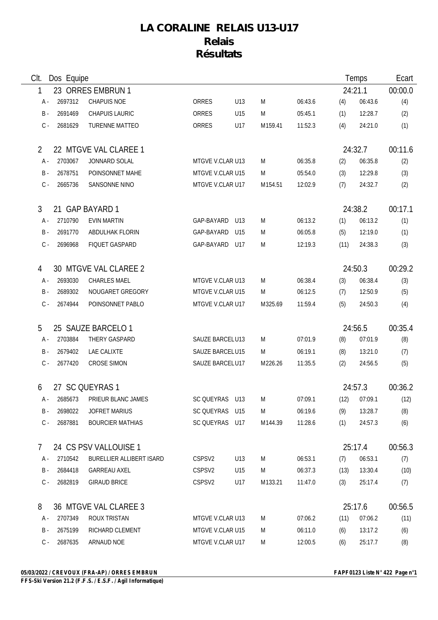## **LA CORALINE RELAIS U13-U17 Relais Résultats**

| CIt.           | Dos Equipe |                                |                    |                 |         | Temps   |         | Ecart          |         |
|----------------|------------|--------------------------------|--------------------|-----------------|---------|---------|---------|----------------|---------|
| 1              |            | 23 ORRES EMBRUN 1              |                    |                 |         |         |         | 24:21.1        | 00:00.0 |
| A -            | 2697312    | <b>CHAPUIS NOE</b>             | <b>ORRES</b>       | U13             | M       | 06:43.6 | (4)     | 06:43.6        | (4)     |
| B -            | 2691469    | <b>CHAPUIS LAURIC</b>          | ORRES              | U15             | M       | 05:45.1 | (1)     | 12:28.7        | (2)     |
| $C -$          | 2681629    | <b>TURENNE MATTEO</b>          | <b>ORRES</b>       | U17             | M159.41 | 11:52.3 | (4)     | 24:21.0        | (1)     |
| 2              |            | 22 MTGVE VAL CLAREE 1          |                    |                 |         |         |         | 24:32.7        | 00:11.6 |
| A -            | 2703067    | JONNARD SOLAL                  | MTGVE V.CLAR U13   |                 | M       | 06:35.8 | (2)     | 06:35.8        | (2)     |
| <b>B</b> -     | 2678751    | POINSONNET MAHE                | MTGVE V.CLAR U15   |                 | M       | 05:54.0 | (3)     | 12:29.8        | (3)     |
| $C -$          | 2665736    | SANSONNE NINO                  | MTGVE V.CLAR U17   |                 | M154.51 | 12:02.9 | (7)     | 24:32.7        | (2)     |
| 3              |            | 21 GAP BAYARD 1                |                    |                 |         |         |         | 24:38.2        | 00:17.1 |
| A -            | 2710790    | <b>EVIN MARTIN</b>             | GAP-BAYARD         | U13             | M       | 06:13.2 | (1)     | 06:13.2        | (1)     |
| $B -$          | 2691770    | ABDULHAK FLORIN                | GAP-BAYARD         | U <sub>15</sub> | M       | 06:05.8 | (5)     | 12:19.0        | (1)     |
| $C -$          | 2696968    | FIQUET GASPARD                 | GAP-BAYARD         | U17             | M       | 12:19.3 | (11)    | 24:38.3        | (3)     |
| 4              |            | 30 MTGVE VAL CLAREE 2          |                    |                 |         |         |         | 24:50.3        | 00:29.2 |
| A -            | 2693030    | CHARLES MAEL                   | MTGVE V.CLAR U13   |                 | M       | 06:38.4 | (3)     | 06:38.4        | (3)     |
| B -            | 2689302    | NOUGARET GREGORY               | MTGVE V.CLAR U15   |                 | M       | 06:12.5 | (7)     | 12:50.9        | (5)     |
| $C -$          | 2674944    | POINSONNET PABLO               | MTGVE V.CLAR U17   |                 | M325.69 | 11:59.4 | (5)     | 24:50.3        | (4)     |
| 5              |            | 25 SAUZE BARCELO 1             |                    |                 |         |         |         | 24:56.5        | 00:35.4 |
| A -            | 2703884    | THERY GASPARD                  | SAUZE BARCELU13    |                 | M       | 07:01.9 | (8)     | 07:01.9        | (8)     |
| <b>B</b> -     | 2679402    | LAE CALIXTE                    | SAUZE BARCELU15    |                 | M       | 06:19.1 | (8)     | 13:21.0        | (7)     |
| $C -$          | 2677420    | <b>CROSE SIMON</b>             | SAUZE BARCELU17    |                 | M226.26 | 11:35.5 | (2)     | 24:56.5        | (5)     |
| 6              |            | 27 SC QUEYRAS 1                |                    |                 |         |         |         | 24:57.3        | 00:36.2 |
|                |            | A - 2685673 PRIEUR BLANC JAMES | SC QUEYRAS U13     |                 | M       | 07:09.1 |         | $(12)$ 07:09.1 | (12)    |
| B -            | 2698022    | JOFRET MARIUS                  | SC QUEYRAS U15     |                 | M       | 06:19.6 | (9)     | 13:28.7        | (8)     |
| $C -$          | 2687881    | <b>BOURCIER MATHIAS</b>        | SC QUEYRAS U17     |                 | M144.39 | 11:28.6 | (1)     | 24:57.3        | (6)     |
| 7 <sup>1</sup> |            | 24 CS PSV VALLOUISE 1          |                    |                 |         |         | 25:17.4 |                | 00:56.3 |
| A -            | 2710542    | BURELLIER ALLIBERT ISARD       | CSPSV <sub>2</sub> | U13             | M       | 06:53.1 | (7)     | 06:53.1        | (7)     |
| B -            | 2684418    | <b>GARREAU AXEL</b>            | CSPSV2             | U15             | M       | 06:37.3 | (13)    | 13:30.4        | (10)    |
| C -            | 2682819    | <b>GIRAUD BRICE</b>            | CSPSV2             | U17             | M133.21 | 11:47.0 | (3)     | 25:17.4        | (7)     |
| 8              |            | 36 MTGVE VAL CLAREE 3          |                    |                 |         |         |         | 25:17.6        | 00:56.5 |
| A -            | 2707349    | <b>ROUX TRISTAN</b>            | MTGVE V.CLAR U13   |                 | M       | 07:06.2 | (11)    | 07:06.2        | (11)    |
| B -            | 2675199    | RICHARD CLEMENT                | MTGVE V.CLAR U15   |                 | M       | 06:11.0 | (6)     | 13:17.2        | (6)     |
| $C -$          | 2687635    | ARNAUD NOE                     | MTGVE V.CLAR U17   |                 | M       | 12:00.5 | (6)     | 25:17.7        | (8)     |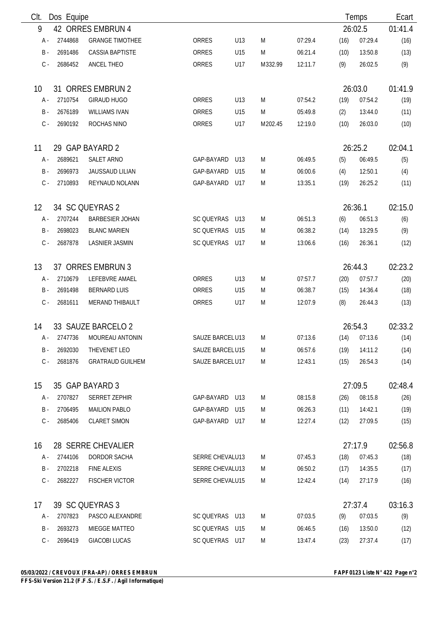| Clt.       | Dos Equipe         |                         |                   |     |         |         |         | Temps   | Ecart   |
|------------|--------------------|-------------------------|-------------------|-----|---------|---------|---------|---------|---------|
| 9          |                    | 42 ORRES EMBRUN 4       |                   |     |         |         |         | 26:02.5 | 01:41.4 |
| A -        | 2744868            | <b>GRANGE TIMOTHEE</b>  | <b>ORRES</b>      | U13 | M       | 07:29.4 | (16)    | 07:29.4 | (16)    |
| <b>B</b> - | 2691486            | <b>CASSIA BAPTISTE</b>  | ORRES             | U15 | M       | 06:21.4 | (10)    | 13:50.8 | (13)    |
| $C -$      | 2686452            | ANCEL THEO              | ORRES             | U17 | M332.99 | 12:11.7 | (9)     | 26:02.5 | (9)     |
| 10         |                    | 31 ORRES EMBRUN 2       |                   |     |         |         | 26:03.0 |         | 01:41.9 |
| A -        | 2710754            | <b>GIRAUD HUGO</b>      | ORRES             | U13 | M       | 07:54.2 | (19)    | 07:54.2 | (19)    |
| $B -$      | 2676189            | <b>WILLIAMS IVAN</b>    | ORRES             | U15 | M       | 05:49.8 | (2)     | 13:44.0 | (11)    |
| $C -$      | 2690192            | ROCHAS NINO             | ORRES             | U17 | M202.45 | 12:19.0 | (10)    | 26:03.0 | (10)    |
| 11         |                    | 29 GAP BAYARD 2         |                   |     |         |         | 26:25.2 |         | 02:04.1 |
| A -        | 2689621            | SALET ARNO              | GAP-BAYARD        | U13 | M       | 06:49.5 | (5)     | 06:49.5 | (5)     |
| <b>B</b> - | 2696973            | <b>JAUSSAUD LILIAN</b>  | GAP-BAYARD        | U15 | M       | 06:00.6 | (4)     | 12:50.1 | (4)     |
| $C -$      | 2710893            | REYNAUD NOLANN          | GAP-BAYARD        | U17 | M       | 13:35.1 | (19)    | 26:25.2 | (11)    |
| 12         |                    | 34 SC QUEYRAS 2         |                   |     |         |         |         | 26:36.1 | 02:15.0 |
| A -        | 2707244            | <b>BARBESIER JOHAN</b>  | <b>SC QUEYRAS</b> | U13 | M       | 06:51.3 | (6)     | 06:51.3 | (6)     |
| $B -$      | 2698023            | <b>BLANC MARIEN</b>     | SC QUEYRAS        | U15 | M       | 06:38.2 | (14)    | 13:29.5 | (9)     |
| $C -$      | 2687878            | <b>LASNIER JASMIN</b>   | SC QUEYRAS        | U17 | M       | 13:06.6 | (16)    | 26:36.1 | (12)    |
| 13         | 37 ORRES EMBRUN 3  |                         |                   |     |         |         | 26:44.3 |         | 02:23.2 |
| A -        | 2710679            | LEFEBVRE AMAEL          | ORRES             | U13 | M       | 07:57.7 | (20)    | 07:57.7 | (20)    |
| B -        | 2691498            | <b>BERNARD LUIS</b>     | ORRES             | U15 | M       | 06:38.7 | (15)    | 14:36.4 | (18)    |
| $C -$      | 2681611            | <b>MERAND THIBAULT</b>  | ORRES             | U17 | M       | 12:07.9 | (8)     | 26:44.3 | (13)    |
| 14         |                    | 33 SAUZE BARCELO 2      |                   |     |         |         | 26:54.3 |         | 02:33.2 |
| A -        | 2747736            | MOUREAU ANTONIN         | SAUZE BARCELU13   |     | M       | 07:13.6 | (14)    | 07:13.6 | (14)    |
| B -        | 2692030            | THEVENET LEO            | SAUZE BARCELU15   |     | M       | 06:57.6 | (19)    | 14:11.2 | (14)    |
| $C -$      | 2681876            | <b>GRATRAUD GUILHEM</b> | SAUZE BARCELU17   |     | M       | 12:43.1 | (15)    | 26:54.3 | (14)    |
| 15         |                    | 35 GAP BAYARD 3         |                   |     |         |         |         | 27:09.5 | 02:48.4 |
| A -        | 2707827            | SERRET ZEPHIR           | GAP-BAYARD U13    |     | M       | 08:15.8 | (26)    | 08:15.8 | (26)    |
| B -        | 2706495            | <b>MAILION PABLO</b>    | GAP-BAYARD        | U15 | M       | 06:26.3 | (11)    | 14:42.1 | (19)    |
| $C -$      | 2685406            | <b>CLARET SIMON</b>     | GAP-BAYARD        | U17 | M       | 12:27.4 | (12)    | 27:09.5 | (15)    |
| 16         | 28 SERRE CHEVALIER |                         |                   |     |         |         |         | 27:17.9 | 02:56.8 |
| A -        | 2744106            | DORDOR SACHA            | SERRE CHEVALU13   |     | M       | 07:45.3 | (18)    | 07:45.3 | (18)    |
| B -        | 2702218            | <b>FINE ALEXIS</b>      | SERRE CHEVALU13   |     | M       | 06:50.2 | (17)    | 14:35.5 | (17)    |
| $C -$      | 2682227            | <b>FISCHER VICTOR</b>   | SERRE CHEVALU15   |     | M       | 12:42.4 | (14)    | 27:17.9 | (16)    |
| 17         |                    | 39 SC QUEYRAS 3         |                   |     |         |         |         | 27:37.4 | 03:16.3 |
| A -        | 2707823            | PASCO ALEXANDRE         | SC QUEYRAS U13    |     | M       | 07:03.5 | (9)     | 07:03.5 | (9)     |
| B -        | 2693273            | MIEGGE MATTEO           | SC QUEYRAS U15    |     | M       | 06:46.5 | (16)    | 13:50.0 | (12)    |
| $C -$      | 2696419            | <b>GIACOBI LUCAS</b>    | SC QUEYRAS U17    |     | M       | 13:47.4 | (23)    | 27:37.4 | (17)    |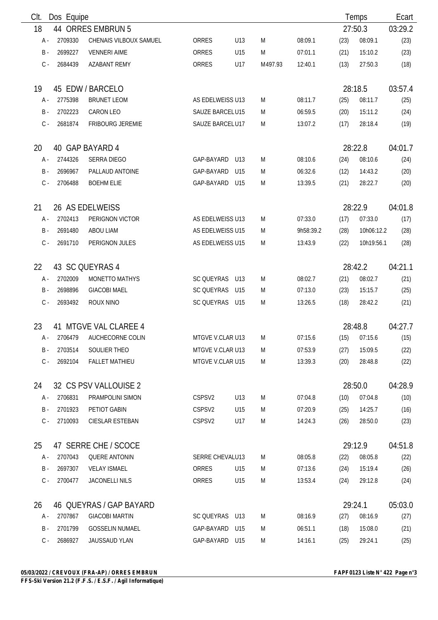| Clt.  | Dos Equipe            |                         |                   |                 |         |           |         | Temps      | Ecart   |
|-------|-----------------------|-------------------------|-------------------|-----------------|---------|-----------|---------|------------|---------|
| 18    |                       | 44 ORRES EMBRUN 5       |                   |                 |         |           |         | 27:50.3    | 03:29.2 |
| A -   | 2709330               | CHENAIS VILBOUX SAMUEL  | ORRES             | U13             | M       | 08:09.1   | (23)    | 08:09.1    | (23)    |
| $B -$ | 2699227               | <b>VENNERI AIME</b>     | ORRES             | U15             | M       | 07:01.1   | (21)    | 15:10.2    | (23)    |
| $C -$ | 2684439               | <b>AZABANT REMY</b>     | ORRES             | U17             | M497.93 | 12:40.1   | (13)    | 27:50.3    | (18)    |
| 19    |                       | 45 EDW / BARCELO        |                   |                 |         |           |         | 28:18.5    | 03:57.4 |
| A -   | 2775398               | <b>BRUNET LEOM</b>      | AS EDELWEISS U13  |                 | M       | 08:11.7   | (25)    | 08:11.7    | (25)    |
| $B -$ | 2702223               | <b>CARON LEO</b>        | SAUZE BARCELU15   |                 | M       | 06:59.5   | (20)    | 15:11.2    | (24)    |
| $C -$ | 2681874               | <b>FRIBOURG JEREMIE</b> | SAUZE BARCELU17   |                 | M       | 13:07.2   | (17)    | 28:18.4    | (19)    |
| 20    |                       | 40 GAP BAYARD 4         |                   |                 |         |           | 28:22.8 |            | 04:01.7 |
| A -   | 2744326               | SERRA DIEGO             | GAP-BAYARD        | U13             | M       | 08:10.6   | (24)    | 08:10.6    | (24)    |
| $B -$ | 2696967               | PALLAUD ANTOINE         | GAP-BAYARD        | U15             | M       | 06:32.6   | (12)    | 14:43.2    | (20)    |
| $C -$ | 2706488               | <b>BOEHM ELIE</b>       | GAP-BAYARD        | U15             | M       | 13:39.5   | (21)    | 28:22.7    | (20)    |
| 21    |                       | 26 AS EDELWEISS         |                   |                 |         |           |         | 28:22.9    | 04:01.8 |
| A -   | 2702413               | PERIGNON VICTOR         | AS EDELWEISS U13  |                 | M       | 07:33.0   | (17)    | 07:33.0    | (17)    |
| $B -$ | 2691480               | ABOU LIAM               | AS EDELWEISS U15  |                 | M       | 9h58:39.2 | (28)    | 10h06:12.2 | (28)    |
| $C -$ | 2691710               | PERIGNON JULES          | AS EDELWEISS U15  |                 | M       | 13:43.9   | (22)    | 10h19:56.1 | (28)    |
| 22    |                       | 43 SC QUEYRAS 4         |                   |                 |         |           |         | 28:42.2    | 04:21.1 |
| A -   | 2702009               | MONETTO MATHYS          | SC QUEYRAS        | U13             | M       | 08:02.7   | (21)    | 08:02.7    | (21)    |
| $B -$ | 2698896               | <b>GIACOBI MAEL</b>     | <b>SC QUEYRAS</b> | U15             | M       | 07:13.0   | (23)    | 15:15.7    | (25)    |
| $C -$ | 2693492               | ROUX NINO               | SC QUEYRAS        | U15             | M       | 13:26.5   | (18)    | 28:42.2    | (21)    |
| 23    | 41 MTGVE VAL CLAREE 4 |                         |                   |                 |         |           |         | 28:48.8    | 04:27.7 |
| А -   | 2706479               | AUCHECORNE COLIN        | MTGVE V.CLAR U13  |                 | M       | 07:15.6   | (15)    | 07:15.6    | (15)    |
| B -   | 2703514               | SOULIER THEO            | MTGVE V.CLAR U13  |                 | M       | 07:53.9   | (27)    | 15:09.5    | (22)    |
| $C -$ | 2692104               | <b>FALLET MATHIEU</b>   | MTGVE V.CLAR U15  |                 | M       | 13:39.3   | (20)    | 28:48.8    | (22)    |
| 24    | 32 CS PSV VALLOUISE 2 |                         |                   |                 |         |           |         | 28:50.0    | 04:28.9 |
| A -   | 2706831               | PRAMPOLINI SIMON        | CSPSV2            | U13             | M       | 07:04.8   | (10)    | 07:04.8    | (10)    |
| $B -$ | 2701923               | PETIOT GABIN            | CSPSV2            | U15             | M       | 07:20.9   | (25)    | 14:25.7    | (16)    |
| $C -$ | 2710093               | CIESLAR ESTEBAN         | CSPSV2            | U17             | M       | 14:24.3   | (26)    | 28:50.0    | (23)    |
| 25    | 47 SERRE CHE / SCOCE  |                         |                   |                 |         |           |         | 29:12.9    | 04:51.8 |
| A -   | 2707043               | <b>QUERE ANTONIN</b>    | SERRE CHEVALU13   |                 | M       | 08:05.8   | (22)    | 08:05.8    | (22)    |
| $B -$ | 2697307               | <b>VELAY ISMAEL</b>     | ORRES             | U <sub>15</sub> | M       | 07:13.6   | (24)    | 15:19.4    | (26)    |
| $C -$ | 2700477               | <b>JACONELLI NILS</b>   | ORRES             | U15             | M       | 13:53.4   | (24)    | 29:12.8    | (24)    |
| 26    |                       | 46 QUEYRAS / GAP BAYARD |                   |                 |         |           |         | 29:24.1    | 05:03.0 |
| A -   | 2707867               | <b>GIACOBI MARTIN</b>   | SC QUEYRAS U13    |                 | M       | 08:16.9   | (27)    | 08:16.9    | (27)    |
| $B -$ | 2701799               | <b>GOSSELIN NUMAEL</b>  | GAP-BAYARD        | U15             | M       | 06:51.1   | (18)    | 15:08.0    | (21)    |
| $C -$ | 2686927               | JAUSSAUD YLAN           | GAP-BAYARD U15    |                 | M       | 14:16.1   | (25)    | 29:24.1    | (25)    |